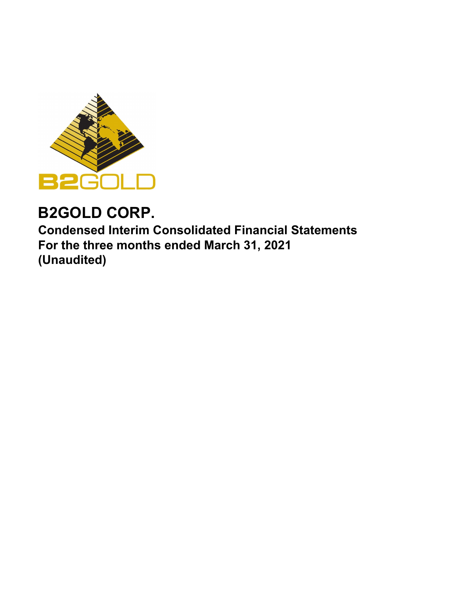

# **B2GOLD CORP.**

**Condensed Interim Consolidated Financial Statements For the three months ended March 31, 2021 (Unaudited)**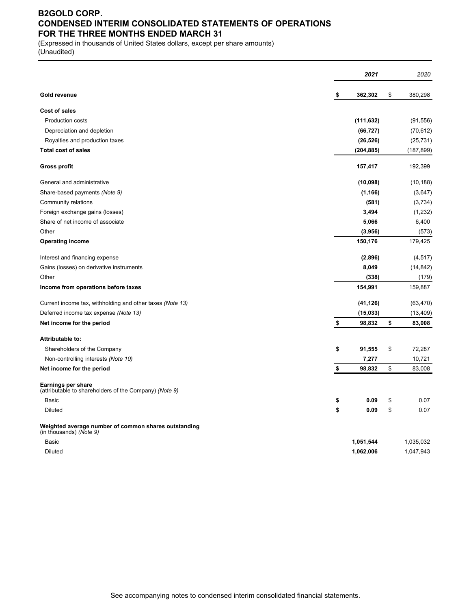# **B2GOLD CORP. CONDENSED INTERIM CONSOLIDATED STATEMENTS OF OPERATIONS FOR THE THREE MONTHS ENDED MARCH 31**

(Expressed in thousands of United States dollars, except per share amounts) (Unaudited)

|                                                                                     | 2021          | 2020          |
|-------------------------------------------------------------------------------------|---------------|---------------|
| <b>Gold revenue</b>                                                                 | \$<br>362,302 | \$<br>380,298 |
| <b>Cost of sales</b>                                                                |               |               |
| <b>Production costs</b>                                                             | (111, 632)    | (91, 556)     |
| Depreciation and depletion                                                          | (66, 727)     | (70, 612)     |
| Royalties and production taxes                                                      | (26, 526)     | (25, 731)     |
| <b>Total cost of sales</b>                                                          | (204, 885)    | (187, 899)    |
| <b>Gross profit</b>                                                                 | 157,417       | 192,399       |
| General and administrative                                                          | (10,098)      | (10, 188)     |
| Share-based payments (Note 9)                                                       | (1, 166)      | (3,647)       |
| Community relations                                                                 | (581)         | (3,734)       |
| Foreign exchange gains (losses)                                                     | 3,494         | (1, 232)      |
| Share of net income of associate                                                    | 5,066         | 6,400         |
| Other                                                                               | (3,956)       | (573)         |
| <b>Operating income</b>                                                             | 150,176       | 179,425       |
| Interest and financing expense                                                      | (2,896)       | (4, 517)      |
| Gains (losses) on derivative instruments                                            | 8,049         | (14, 842)     |
| Other                                                                               | (338)         | (179)         |
| Income from operations before taxes                                                 | 154,991       | 159,887       |
| Current income tax, withholding and other taxes (Note 13)                           | (41, 126)     | (63, 470)     |
| Deferred income tax expense (Note 13)                                               | (15, 033)     | (13, 409)     |
| Net income for the period                                                           | \$<br>98,832  | \$<br>83,008  |
| Attributable to:                                                                    |               |               |
| Shareholders of the Company                                                         | \$<br>91,555  | \$<br>72,287  |
| Non-controlling interests (Note 10)                                                 | 7,277         | 10,721        |
| Net income for the period                                                           | \$<br>98,832  | \$<br>83,008  |
| <b>Earnings per share</b><br>(attributable to shareholders of the Company) (Note 9) |               |               |
| <b>Basic</b>                                                                        | \$<br>0.09    | \$<br>0.07    |
| <b>Diluted</b>                                                                      | \$<br>0.09    | \$<br>0.07    |
| Weighted average number of common shares outstanding<br>(in thousands) (Note 9)     |               |               |
| <b>Basic</b>                                                                        | 1,051,544     | 1,035,032     |
| Diluted                                                                             | 1,062,006     | 1,047,943     |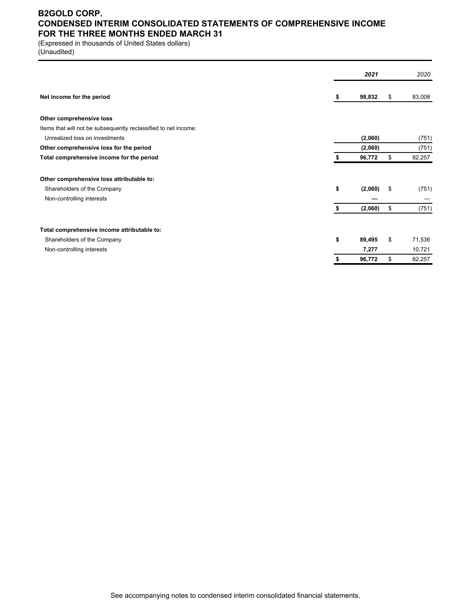### **B2GOLD CORP. CONDENSED INTERIM CONSOLIDATED STATEMENTS OF COMPREHENSIVE INCOME FOR THE THREE MONTHS ENDED MARCH 31**

(Expressed in thousands of United States dollars)

(Unaudited)

|                                                                 |    | 2021    |    | 2020   |
|-----------------------------------------------------------------|----|---------|----|--------|
| Net income for the period                                       | 5  | 98,832  | S  | 83,008 |
| Other comprehensive loss                                        |    |         |    |        |
| Items that will not be subsequently reclassified to net income: |    |         |    |        |
| Unrealized loss on investments                                  |    | (2,060) |    | (751)  |
| Other comprehensive loss for the period                         |    | (2,060) |    | (751)  |
| Total comprehensive income for the period                       |    | 96,772  | \$ | 82,257 |
| Other comprehensive loss attributable to:                       |    |         |    |        |
| Shareholders of the Company                                     | \$ | (2,060) | \$ | (751)  |
| Non-controlling interests                                       |    |         |    |        |
|                                                                 | S  | (2,060) | \$ | (751)  |
| Total comprehensive income attributable to:                     |    |         |    |        |
| Shareholders of the Company                                     | \$ | 89,495  | \$ | 71,536 |
| Non-controlling interests                                       |    | 7,277   |    | 10,721 |
|                                                                 | \$ | 96,772  | \$ | 82,257 |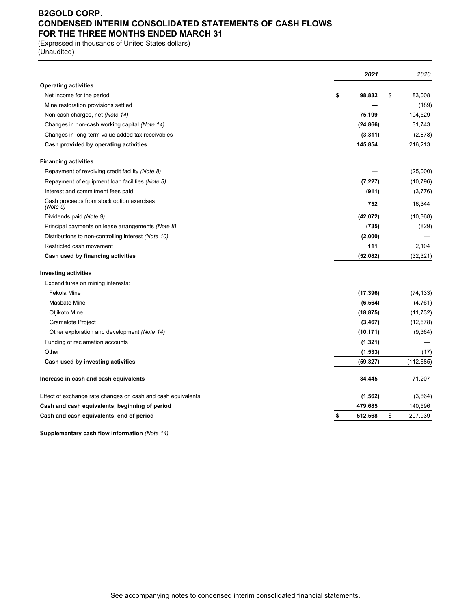# **B2GOLD CORP. CONDENSED INTERIM CONSOLIDATED STATEMENTS OF CASH FLOWS FOR THE THREE MONTHS ENDED MARCH 31**

(Expressed in thousands of United States dollars)

(Unaudited)

|                                                              | 2021          | 2020          |      |
|--------------------------------------------------------------|---------------|---------------|------|
| <b>Operating activities</b>                                  |               |               |      |
| Net income for the period                                    | \$<br>98,832  | \$<br>83,008  |      |
| Mine restoration provisions settled                          |               | (189)         |      |
| Non-cash charges, net (Note 14)                              | 75,199        | 104,529       |      |
| Changes in non-cash working capital (Note 14)                | (24, 866)     | 31,743        |      |
| Changes in long-term value added tax receivables             | (3, 311)      | (2,878)       |      |
| Cash provided by operating activities                        | 145,854       | 216,213       |      |
| <b>Financing activities</b>                                  |               |               |      |
| Repayment of revolving credit facility (Note 8)              |               | (25,000)      |      |
| Repayment of equipment loan facilities (Note 8)              | (7, 227)      | (10, 796)     |      |
| Interest and commitment fees paid                            | (911)         | (3,776)       |      |
| Cash proceeds from stock option exercises<br>(Note 9)        | 752           | 16,344        |      |
| Dividends paid (Note 9)                                      | (42,072)      | (10, 368)     |      |
| Principal payments on lease arrangements (Note 8)            | (735)         | (829)         |      |
| Distributions to non-controlling interest (Note 10)          | (2,000)       |               |      |
| Restricted cash movement                                     | 111           | 2,104         |      |
| Cash used by financing activities                            | (52,082)      | (32, 321)     |      |
| <b>Investing activities</b>                                  |               |               |      |
| Expenditures on mining interests:                            |               |               |      |
| Fekola Mine                                                  | (17, 396)     | (74, 133)     |      |
| Masbate Mine                                                 | (6, 564)      | (4,761)       |      |
| Otjikoto Mine                                                | (18, 875)     | (11, 732)     |      |
| <b>Gramalote Project</b>                                     | (3, 467)      | (12, 678)     |      |
| Other exploration and development (Note 14)                  | (10, 171)     | (9,364)       |      |
| Funding of reclamation accounts                              | (1, 321)      |               |      |
| Other                                                        | (1, 533)      |               | (17) |
| Cash used by investing activities                            | (59, 327)     | (112, 685)    |      |
| Increase in cash and cash equivalents                        | 34,445        | 71,207        |      |
| Effect of exchange rate changes on cash and cash equivalents | (1, 562)      | (3,864)       |      |
| Cash and cash equivalents, beginning of period               | 479,685       | 140,596       |      |
| Cash and cash equivalents, end of period                     | \$<br>512,568 | \$<br>207,939 |      |

**Supplementary cash flow information** *(Note 14)*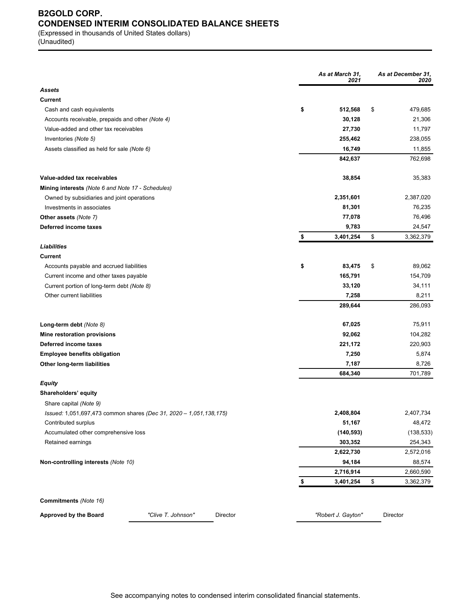# **B2GOLD CORP. CONDENSED INTERIM CONSOLIDATED BALANCE SHEETS**

(Expressed in thousands of United States dollars) (Unaudited)

|                                                                    |                    |          | As at March 31,<br>2021 | As at December 31,<br>2020 |
|--------------------------------------------------------------------|--------------------|----------|-------------------------|----------------------------|
| Assets                                                             |                    |          |                         |                            |
| Current                                                            |                    |          |                         |                            |
| Cash and cash equivalents                                          |                    |          | \$<br>512,568           | \$<br>479,685              |
| Accounts receivable, prepaids and other (Note 4)                   |                    |          | 30,128                  | 21,306                     |
| Value-added and other tax receivables                              |                    |          | 27,730                  | 11,797                     |
| Inventories (Note 5)                                               |                    |          | 255,462                 | 238,055                    |
| Assets classified as held for sale (Note 6)                        |                    |          | 16,749                  | 11,855                     |
|                                                                    |                    |          | 842,637                 | 762,698                    |
| Value-added tax receivables                                        |                    |          | 38,854                  | 35,383                     |
| Mining interests (Note 6 and Note 17 - Schedules)                  |                    |          |                         |                            |
| Owned by subsidiaries and joint operations                         |                    |          | 2,351,601               | 2,387,020                  |
| Investments in associates                                          |                    |          | 81,301                  | 76,235                     |
| <b>Other assets (Note 7)</b>                                       |                    |          | 77,078                  | 76,496                     |
| Deferred income taxes                                              |                    |          | 9,783                   | 24,547                     |
|                                                                    |                    |          | \$<br>3,401,254         | \$<br>3,362,379            |
| Liabilities                                                        |                    |          |                         |                            |
| Current                                                            |                    |          |                         |                            |
| Accounts payable and accrued liabilities                           |                    |          | \$<br>83,475            | \$<br>89,062               |
| Current income and other taxes payable                             |                    |          | 165,791                 | 154,709                    |
| Current portion of long-term debt (Note 8)                         |                    |          | 33,120                  | 34,111                     |
| Other current liabilities                                          |                    |          | 7,258                   | 8,211                      |
|                                                                    |                    |          | 289,644                 | 286,093                    |
| Long-term debt (Note 8)                                            |                    |          | 67,025                  | 75,911                     |
| Mine restoration provisions                                        |                    |          | 92,062                  | 104,282                    |
| Deferred income taxes                                              |                    |          | 221,172                 | 220,903                    |
| <b>Employee benefits obligation</b>                                |                    |          | 7,250                   | 5,874                      |
| Other long-term liabilities                                        |                    |          | 7,187                   | 8,726                      |
|                                                                    |                    |          | 684,340                 | 701,789                    |
| Equity                                                             |                    |          |                         |                            |
| Shareholders' equity                                               |                    |          |                         |                            |
| Share capital (Note 9)                                             |                    |          |                         |                            |
| Issued: 1,051,697,473 common shares (Dec 31, 2020 - 1,051,138,175) |                    |          | 2,408,804               | 2,407,734                  |
| Contributed surplus                                                |                    |          | 51,167                  | 48,472                     |
| Accumulated other comprehensive loss                               |                    |          | (140, 593)              | (138, 533)                 |
| Retained earnings                                                  |                    |          | 303,352                 | 254,343                    |
|                                                                    |                    |          | 2,622,730               | 2,572,016                  |
| Non-controlling interests (Note 10)                                |                    |          | 94,184                  | 88,574                     |
|                                                                    |                    |          | 2,716,914               | 2,660,590                  |
|                                                                    |                    |          | \$<br>3,401,254         | \$<br>3,362,379            |
| Commitments (Note 16)                                              |                    |          |                         |                            |
| Approved by the Board                                              | "Clive T. Johnson" | Director | "Robert J. Gayton"      | Director                   |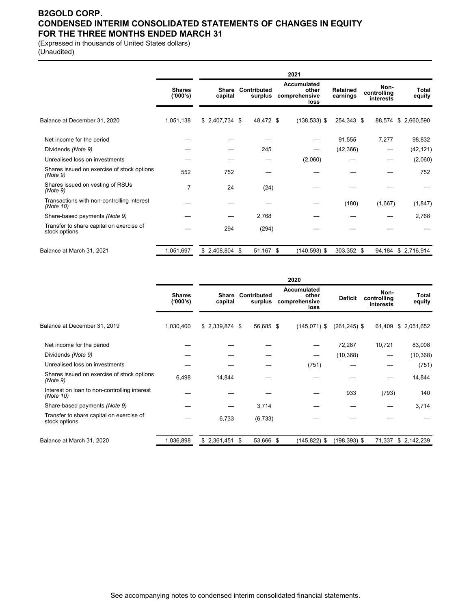### **B2GOLD CORP. CONDENSED INTERIM CONSOLIDATED STATEMENTS OF CHANGES IN EQUITY FOR THE THREE MONTHS ENDED MARCH 31**

(Expressed in thousands of United States dollars) (Unaudited)

|                                                           |                           |                         |                        |      | 2021                                                 |                             |                                  |                     |
|-----------------------------------------------------------|---------------------------|-------------------------|------------------------|------|------------------------------------------------------|-----------------------------|----------------------------------|---------------------|
|                                                           | <b>Shares</b><br>('000's) | <b>Share</b><br>capital | Contributed<br>surplus |      | <b>Accumulated</b><br>other<br>comprehensive<br>loss | <b>Retained</b><br>earnings | Non-<br>controlling<br>interests | Total<br>equity     |
| Balance at December 31, 2020                              | 1,051,138                 | $$2,407,734$ \$         | 48,472 \$              |      | $(138, 533)$ \$                                      | 254,343 \$                  |                                  | 88,574 \$ 2,660,590 |
| Net income for the period                                 |                           |                         |                        |      |                                                      | 91,555                      | 7,277                            | 98,832              |
| Dividends (Note 9)                                        |                           |                         | 245                    |      |                                                      | (42, 366)                   |                                  | (42, 121)           |
| Unrealised loss on investments                            |                           |                         |                        |      | (2,060)                                              |                             |                                  | (2,060)             |
| Shares issued on exercise of stock options<br>(Note 9)    | 552                       | 752                     |                        |      |                                                      |                             |                                  | 752                 |
| Shares issued on vesting of RSUs<br>(Note 9)              | 7                         | 24                      |                        | (24) |                                                      |                             |                                  |                     |
| Transactions with non-controlling interest<br>(Note 10)   |                           |                         |                        |      |                                                      | (180)                       | (1,667)                          | (1,847)             |
| Share-based payments (Note 9)                             |                           |                         | 2,768                  |      |                                                      |                             |                                  | 2,768               |
| Transfer to share capital on exercise of<br>stock options |                           | 294                     | (294)                  |      |                                                      |                             |                                  |                     |
| Balance at March 31, 2021                                 | 1,051,697                 | $$2,408,804$ \$         | 51,167 \$              |      | $(140, 593)$ \$                                      | 303,352 \$                  |                                  | 94,184 \$2,716,914  |

|                                                           |                           | 2020             |  |                        |  |                                                      |                 |                                  |                 |
|-----------------------------------------------------------|---------------------------|------------------|--|------------------------|--|------------------------------------------------------|-----------------|----------------------------------|-----------------|
|                                                           | <b>Shares</b><br>('000's) | Share<br>capital |  | Contributed<br>surplus |  | <b>Accumulated</b><br>other<br>comprehensive<br>loss | <b>Deficit</b>  | Non-<br>controlling<br>interests | Total<br>equity |
| Balance at December 31, 2019                              | 1,030,400                 | $$2,339,874$ \$  |  | 56,685 \$              |  | $(145,071)$ \$                                       | $(261, 245)$ \$ | 61,409                           | \$ 2,051,652    |
| Net income for the period                                 |                           |                  |  |                        |  |                                                      | 72,287          | 10,721                           | 83,008          |
| Dividends (Note 9)                                        |                           |                  |  |                        |  | —                                                    | (10, 368)       |                                  | (10, 368)       |
| Unrealised loss on investments                            |                           |                  |  |                        |  | (751)                                                |                 |                                  | (751)           |
| Shares issued on exercise of stock options<br>(Note 9)    | 6,498                     | 14,844           |  |                        |  |                                                      |                 |                                  | 14,844          |
| Interest on loan to non-controlling interest<br>(Note 10) |                           |                  |  |                        |  |                                                      | 933             | (793)                            | 140             |
| Share-based payments (Note 9)                             |                           |                  |  | 3,714                  |  |                                                      |                 |                                  | 3,714           |
| Transfer to share capital on exercise of<br>stock options |                           | 6,733            |  | (6, 733)               |  |                                                      |                 |                                  |                 |
| Balance at March 31, 2020                                 | 1,036,898                 | $$2,361,451$ \$  |  | 53,666 \$              |  | $(145, 822)$ \$                                      | $(198, 393)$ \$ | 71,337                           | \$2,142,239     |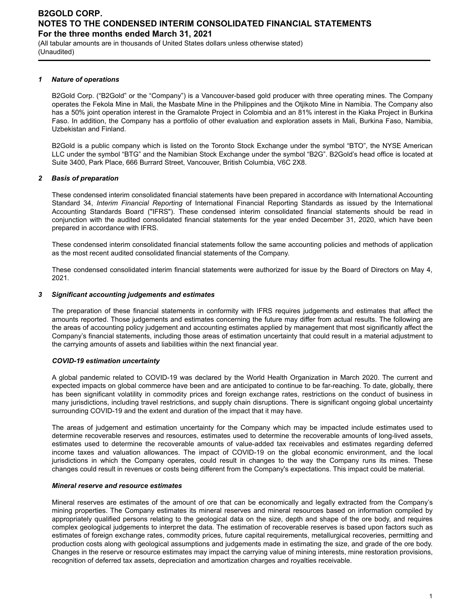(All tabular amounts are in thousands of United States dollars unless otherwise stated) (Unaudited)

#### *1 Nature of operations*

B2Gold Corp. ("B2Gold" or the "Company") is a Vancouver-based gold producer with three operating mines. The Company operates the Fekola Mine in Mali, the Masbate Mine in the Philippines and the Otjikoto Mine in Namibia. The Company also has a 50% joint operation interest in the Gramalote Project in Colombia and an 81% interest in the Kiaka Project in Burkina Faso. In addition, the Company has a portfolio of other evaluation and exploration assets in Mali, Burkina Faso, Namibia, Uzbekistan and Finland.

B2Gold is a public company which is listed on the Toronto Stock Exchange under the symbol "BTO", the NYSE American LLC under the symbol "BTG" and the Namibian Stock Exchange under the symbol "B2G". B2Gold's head office is located at Suite 3400, Park Place, 666 Burrard Street, Vancouver, British Columbia, V6C 2X8.

#### *2 Basis of preparation*

These condensed interim consolidated financial statements have been prepared in accordance with International Accounting Standard 34, *Interim Financial Reporting* of International Financial Reporting Standards as issued by the International Accounting Standards Board ("IFRS"). These condensed interim consolidated financial statements should be read in conjunction with the audited consolidated financial statements for the year ended December 31, 2020, which have been prepared in accordance with IFRS.

These condensed interim consolidated financial statements follow the same accounting policies and methods of application as the most recent audited consolidated financial statements of the Company.

These condensed consolidated interim financial statements were authorized for issue by the Board of Directors on May 4, 2021.

#### *3 Significant accounting judgements and estimates*

The preparation of these financial statements in conformity with IFRS requires judgements and estimates that affect the amounts reported. Those judgements and estimates concerning the future may differ from actual results. The following are the areas of accounting policy judgement and accounting estimates applied by management that most significantly affect the Company's financial statements, including those areas of estimation uncertainty that could result in a material adjustment to the carrying amounts of assets and liabilities within the next financial year.

#### *COVID-19 estimation uncertainty*

A global pandemic related to COVID-19 was declared by the World Health Organization in March 2020. The current and expected impacts on global commerce have been and are anticipated to continue to be far-reaching. To date, globally, there has been significant volatility in commodity prices and foreign exchange rates, restrictions on the conduct of business in many jurisdictions, including travel restrictions, and supply chain disruptions. There is significant ongoing global uncertainty surrounding COVID-19 and the extent and duration of the impact that it may have.

The areas of judgement and estimation uncertainty for the Company which may be impacted include estimates used to determine recoverable reserves and resources, estimates used to determine the recoverable amounts of long-lived assets, estimates used to determine the recoverable amounts of value-added tax receivables and estimates regarding deferred income taxes and valuation allowances. The impact of COVID-19 on the global economic environment, and the local jurisdictions in which the Company operates, could result in changes to the way the Company runs its mines. These changes could result in revenues or costs being different from the Company's expectations. This impact could be material.

#### *Mineral reserve and resource estimates*

Mineral reserves are estimates of the amount of ore that can be economically and legally extracted from the Company's mining properties. The Company estimates its mineral reserves and mineral resources based on information compiled by appropriately qualified persons relating to the geological data on the size, depth and shape of the ore body, and requires complex geological judgements to interpret the data. The estimation of recoverable reserves is based upon factors such as estimates of foreign exchange rates, commodity prices, future capital requirements, metallurgical recoveries, permitting and production costs along with geological assumptions and judgements made in estimating the size, and grade of the ore body. Changes in the reserve or resource estimates may impact the carrying value of mining interests, mine restoration provisions, recognition of deferred tax assets, depreciation and amortization charges and royalties receivable.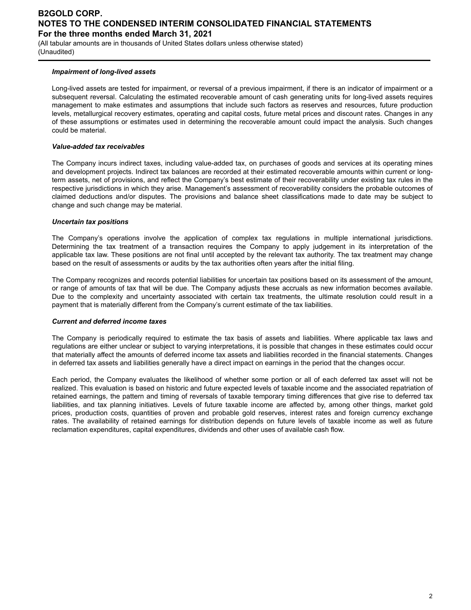(All tabular amounts are in thousands of United States dollars unless otherwise stated) (Unaudited)

#### *Impairment of long-lived assets*

Long-lived assets are tested for impairment, or reversal of a previous impairment, if there is an indicator of impairment or a subsequent reversal. Calculating the estimated recoverable amount of cash generating units for long-lived assets requires management to make estimates and assumptions that include such factors as reserves and resources, future production levels, metallurgical recovery estimates, operating and capital costs, future metal prices and discount rates. Changes in any of these assumptions or estimates used in determining the recoverable amount could impact the analysis. Such changes could be material.

#### *Value-added tax receivables*

The Company incurs indirect taxes, including value-added tax, on purchases of goods and services at its operating mines and development projects. Indirect tax balances are recorded at their estimated recoverable amounts within current or longterm assets, net of provisions, and reflect the Company's best estimate of their recoverability under existing tax rules in the respective jurisdictions in which they arise. Management's assessment of recoverability considers the probable outcomes of claimed deductions and/or disputes. The provisions and balance sheet classifications made to date may be subject to change and such change may be material.

#### *Uncertain tax positions*

The Company's operations involve the application of complex tax regulations in multiple international jurisdictions. Determining the tax treatment of a transaction requires the Company to apply judgement in its interpretation of the applicable tax law. These positions are not final until accepted by the relevant tax authority. The tax treatment may change based on the result of assessments or audits by the tax authorities often years after the initial filing.

The Company recognizes and records potential liabilities for uncertain tax positions based on its assessment of the amount, or range of amounts of tax that will be due. The Company adjusts these accruals as new information becomes available. Due to the complexity and uncertainty associated with certain tax treatments, the ultimate resolution could result in a payment that is materially different from the Company's current estimate of the tax liabilities.

#### *Current and deferred income taxes*

The Company is periodically required to estimate the tax basis of assets and liabilities. Where applicable tax laws and regulations are either unclear or subject to varying interpretations, it is possible that changes in these estimates could occur that materially affect the amounts of deferred income tax assets and liabilities recorded in the financial statements. Changes in deferred tax assets and liabilities generally have a direct impact on earnings in the period that the changes occur.

Each period, the Company evaluates the likelihood of whether some portion or all of each deferred tax asset will not be realized. This evaluation is based on historic and future expected levels of taxable income and the associated repatriation of retained earnings, the pattern and timing of reversals of taxable temporary timing differences that give rise to deferred tax liabilities, and tax planning initiatives. Levels of future taxable income are affected by, among other things, market gold prices, production costs, quantities of proven and probable gold reserves, interest rates and foreign currency exchange rates. The availability of retained earnings for distribution depends on future levels of taxable income as well as future reclamation expenditures, capital expenditures, dividends and other uses of available cash flow.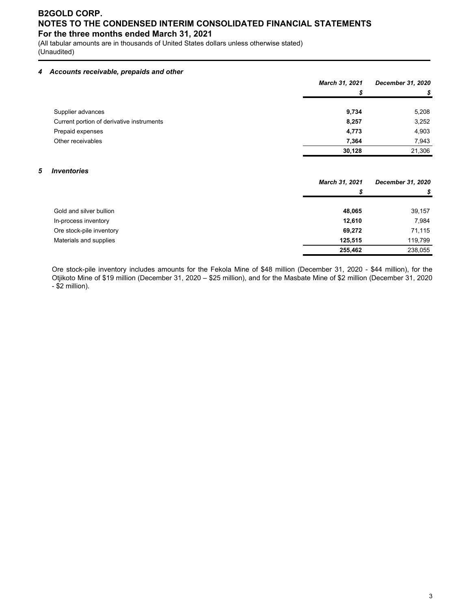(All tabular amounts are in thousands of United States dollars unless otherwise stated) (Unaudited)

#### *4 Accounts receivable, prepaids and other*

|                                           | March 31, 2021 | <b>December 31, 2020</b> |
|-------------------------------------------|----------------|--------------------------|
|                                           | S              | S                        |
|                                           |                |                          |
| Supplier advances                         | 9,734          | 5,208                    |
| Current portion of derivative instruments | 8,257          | 3,252                    |
| Prepaid expenses                          | 4,773          | 4,903                    |
| Other receivables                         | 7.364          | 7,943                    |
|                                           | 30,128         | 21,306                   |

#### *5 Inventories*

|                          | March 31, 2021 | December 31, 2020 |  |
|--------------------------|----------------|-------------------|--|
|                          | \$             | \$                |  |
| Gold and silver bullion  | 48.065         | 39,157            |  |
| In-process inventory     | 12,610         | 7,984             |  |
| Ore stock-pile inventory | 69,272         | 71,115            |  |
| Materials and supplies   | 125.515        | 119,799           |  |
|                          | 255,462        | 238,055           |  |

Ore stock-pile inventory includes amounts for the Fekola Mine of \$48 million (December 31, 2020 - \$44 million), for the Otjikoto Mine of \$19 million (December 31, 2020 – \$25 million), and for the Masbate Mine of \$2 million (December 31, 2020 - \$2 million).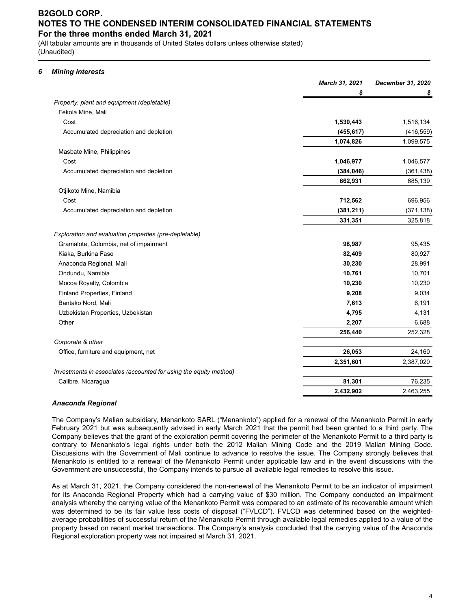(All tabular amounts are in thousands of United States dollars unless otherwise stated) (Unaudited)

#### *6 Mining interests*

|                                                                   | March 31, 2021 | December 31, 2020 |
|-------------------------------------------------------------------|----------------|-------------------|
|                                                                   | \$             | S                 |
| Property, plant and equipment (depletable)                        |                |                   |
| Fekola Mine, Mali                                                 |                |                   |
| Cost                                                              | 1,530,443      | 1,516,134         |
| Accumulated depreciation and depletion                            | (455, 617)     | (416, 559)        |
|                                                                   | 1,074,826      | 1,099,575         |
| Masbate Mine, Philippines                                         |                |                   |
| Cost                                                              | 1,046,977      | 1,046,577         |
| Accumulated depreciation and depletion                            | (384, 046)     | (361, 438)        |
|                                                                   | 662,931        | 685,139           |
| Otjikoto Mine, Namibia                                            |                |                   |
| Cost                                                              | 712,562        | 696,956           |
| Accumulated depreciation and depletion                            | (381, 211)     | (371, 138)        |
|                                                                   | 331,351        | 325,818           |
| Exploration and evaluation properties (pre-depletable)            |                |                   |
| Gramalote, Colombia, net of impairment                            | 98,987         | 95,435            |
| Kiaka, Burkina Faso                                               | 82,409         | 80,927            |
| Anaconda Regional, Mali                                           | 30,230         | 28,991            |
| Ondundu, Namibia                                                  | 10,761         | 10,701            |
| Mocoa Royalty, Colombia                                           | 10,230         | 10,230            |
| Finland Properties, Finland                                       | 9,208          | 9,034             |
| Bantako Nord, Mali                                                | 7,613          | 6,191             |
| Uzbekistan Properties, Uzbekistan                                 | 4,795          | 4,131             |
| Other                                                             | 2,207          | 6,688             |
|                                                                   | 256,440        | 252,328           |
| Corporate & other                                                 |                |                   |
| Office, furniture and equipment, net                              | 26,053         | 24,160            |
|                                                                   | 2,351,601      | 2,387,020         |
| Investments in associates (accounted for using the equity method) |                |                   |
| Calibre, Nicaragua                                                | 81,301         | 76,235            |
|                                                                   | 2,432,902      | 2,463,255         |

#### *Anaconda Regional*

The Company's Malian subsidiary, Menankoto SARL ("Menankoto") applied for a renewal of the Menankoto Permit in early February 2021 but was subsequently advised in early March 2021 that the permit had been granted to a third party. The Company believes that the grant of the exploration permit covering the perimeter of the Menankoto Permit to a third party is contrary to Menankoto's legal rights under both the 2012 Malian Mining Code and the 2019 Malian Mining Code. Discussions with the Government of Mali continue to advance to resolve the issue. The Company strongly believes that Menankoto is entitled to a renewal of the Menankoto Permit under applicable law and in the event discussions with the Government are unsuccessful, the Company intends to pursue all available legal remedies to resolve this issue.

As at March 31, 2021, the Company considered the non-renewal of the Menankoto Permit to be an indicator of impairment for its Anaconda Regional Property which had a carrying value of \$30 million. The Company conducted an impairment analysis whereby the carrying value of the Menankoto Permit was compared to an estimate of its recoverable amount which was determined to be its fair value less costs of disposal ("FVLCD"). FVLCD was determined based on the weightedaverage probabilities of successful return of the Menankoto Permit through available legal remedies applied to a value of the property based on recent market transactions. The Company's analysis concluded that the carrying value of the Anaconda Regional exploration property was not impaired at March 31, 2021.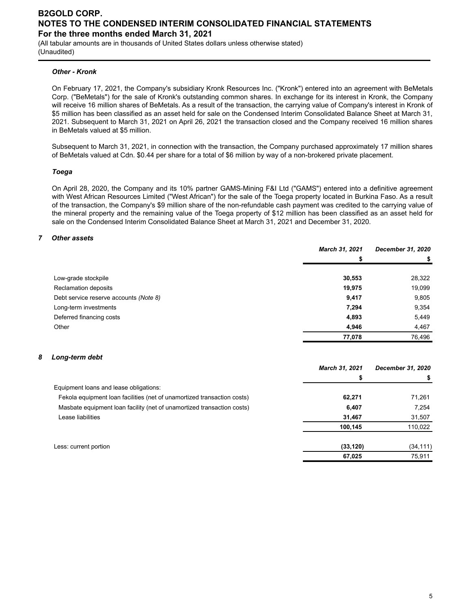(All tabular amounts are in thousands of United States dollars unless otherwise stated) (Unaudited)

#### *Other - Kronk*

On February 17, 2021, the Company's subsidiary Kronk Resources Inc. ("Kronk") entered into an agreement with BeMetals Corp. ("BeMetals") for the sale of Kronk's outstanding common shares. In exchange for its interest in Kronk, the Company will receive 16 million shares of BeMetals. As a result of the transaction, the carrying value of Company's interest in Kronk of \$5 million has been classified as an asset held for sale on the Condensed Interim Consolidated Balance Sheet at March 31, 2021. Subsequent to March 31, 2021 on April 26, 2021 the transaction closed and the Company received 16 million shares in BeMetals valued at \$5 million.

Subsequent to March 31, 2021, in connection with the transaction, the Company purchased approximately 17 million shares of BeMetals valued at Cdn. \$0.44 per share for a total of \$6 million by way of a non-brokered private placement.

#### *Toega*

On April 28, 2020, the Company and its 10% partner GAMS-Mining F&I Ltd ("GAMS") entered into a definitive agreement with West African Resources Limited ("West African") for the sale of the Toega property located in Burkina Faso. As a result of the transaction, the Company's \$9 million share of the non-refundable cash payment was credited to the carrying value of the mineral property and the remaining value of the Toega property of \$12 million has been classified as an asset held for sale on the Condensed Interim Consolidated Balance Sheet at March 31, 2021 and December 31, 2020.

#### *7 Other assets*

|                                        | March 31, 2021 | December 31, 2020 |
|----------------------------------------|----------------|-------------------|
|                                        | S              |                   |
|                                        |                |                   |
| Low-grade stockpile                    | 30,553         | 28,322            |
| Reclamation deposits                   | 19,975         | 19,099            |
| Debt service reserve accounts (Note 8) | 9,417          | 9,805             |
| Long-term investments                  | 7,294          | 9,354             |
| Deferred financing costs               | 4,893          | 5,449             |
| Other                                  | 4,946          | 4,467             |
|                                        | 77,078         | 76,496            |

#### *8 Long-term debt*

|                                                                         | March 31, 2021 | December 31, 2020 |
|-------------------------------------------------------------------------|----------------|-------------------|
|                                                                         |                |                   |
| Equipment loans and lease obligations:                                  |                |                   |
| Fekola equipment loan facilities (net of unamortized transaction costs) | 62,271         | 71,261            |
| Masbate equipment loan facility (net of unamortized transaction costs)  | 6,407          | 7,254             |
| Lease liabilities                                                       | 31,467         | 31,507            |
|                                                                         | 100.145        | 110,022           |
| Less: current portion                                                   | (33, 120)      | (34, 111)         |
|                                                                         | 67,025         | 75,911            |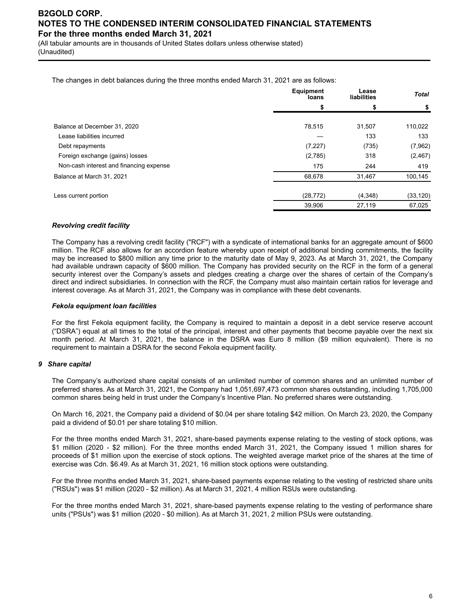(All tabular amounts are in thousands of United States dollars unless otherwise stated) (Unaudited)

The changes in debt balances during the three months ended March 31, 2021 are as follows:

|                                         | <b>Equipment</b><br>loans | Lease<br>liabilities | <b>Total</b> |
|-----------------------------------------|---------------------------|----------------------|--------------|
|                                         | S                         | \$                   | S            |
| Balance at December 31, 2020            | 78,515                    | 31,507               | 110,022      |
| Lease liabilities incurred              |                           | 133                  | 133          |
| Debt repayments                         | (7, 227)                  | (735)                | (7,962)      |
| Foreign exchange (gains) losses         | (2,785)                   | 318                  | (2, 467)     |
| Non-cash interest and financing expense | 175                       | 244                  | 419          |
| Balance at March 31, 2021               | 68,678                    | 31,467               | 100,145      |
| Less current portion                    | (28, 772)                 | (4,348)              | (33, 120)    |
|                                         | 39,906                    | 27,119               | 67,025       |

#### *Revolving credit facility*

The Company has a revolving credit facility ("RCF") with a syndicate of international banks for an aggregate amount of \$600 million. The RCF also allows for an accordion feature whereby upon receipt of additional binding commitments, the facility may be increased to \$800 million any time prior to the maturity date of May 9, 2023. As at March 31, 2021, the Company had available undrawn capacity of \$600 million. The Company has provided security on the RCF in the form of a general security interest over the Company's assets and pledges creating a charge over the shares of certain of the Company's direct and indirect subsidiaries. In connection with the RCF, the Company must also maintain certain ratios for leverage and interest coverage. As at March 31, 2021, the Company was in compliance with these debt covenants.

#### *Fekola equipment loan facilities*

For the first Fekola equipment facility, the Company is required to maintain a deposit in a debt service reserve account ("DSRA") equal at all times to the total of the principal, interest and other payments that become payable over the next six month period. At March 31, 2021, the balance in the DSRA was Euro 8 million (\$9 million equivalent). There is no requirement to maintain a DSRA for the second Fekola equipment facility.

#### *9 Share capital*

The Company's authorized share capital consists of an unlimited number of common shares and an unlimited number of preferred shares. As at March 31, 2021, the Company had 1,051,697,473 common shares outstanding, including 1,705,000 common shares being held in trust under the Company's Incentive Plan. No preferred shares were outstanding.

On March 16, 2021, the Company paid a dividend of \$0.04 per share totaling \$42 million. On March 23, 2020, the Company paid a dividend of \$0.01 per share totaling \$10 million.

For the three months ended March 31, 2021, share-based payments expense relating to the vesting of stock options, was \$1 million (2020 - \$2 million). For the three months ended March 31, 2021, the Company issued 1 million shares for proceeds of \$1 million upon the exercise of stock options. The weighted average market price of the shares at the time of exercise was Cdn. \$6.49. As at March 31, 2021, 16 million stock options were outstanding.

For the three months ended March 31, 2021, share-based payments expense relating to the vesting of restricted share units ("RSUs") was \$1 million (2020 - \$2 million). As at March 31, 2021, 4 million RSUs were outstanding.

For the three months ended March 31, 2021, share-based payments expense relating to the vesting of performance share units ("PSUs") was \$1 million (2020 - \$0 million). As at March 31, 2021, 2 million PSUs were outstanding.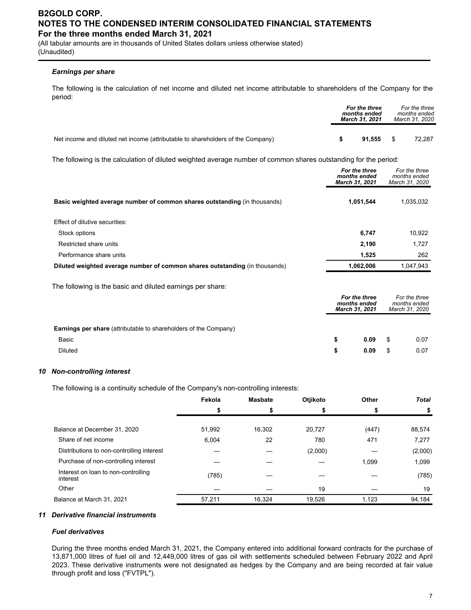(All tabular amounts are in thousands of United States dollars unless otherwise stated) (Unaudited)

#### *Earnings per share*

The following is the calculation of net income and diluted net income attributable to shareholders of the Company for the period:

|                                                                                 | For the three<br>months ended<br><b>March 31, 2021</b> |      | For the three<br>months ended<br>March 31, 2020 |
|---------------------------------------------------------------------------------|--------------------------------------------------------|------|-------------------------------------------------|
| Net income and diluted net income (attributable to shareholders of the Company) | 91.555                                                 | - \$ | 72.287                                          |

The following is the calculation of diluted weighted average number of common shares outstanding for the period:

|                                                                             | For the three<br>months ended<br>March 31, 2021 | For the three<br>months ended<br>March 31, 2020 |
|-----------------------------------------------------------------------------|-------------------------------------------------|-------------------------------------------------|
| Basic weighted average number of common shares outstanding (in thousands)   | 1,051,544                                       | 1,035,032                                       |
| Effect of dilutive securities:                                              |                                                 |                                                 |
| Stock options                                                               | 6,747                                           | 10.922                                          |
| Restricted share units                                                      | 2,190                                           | 1,727                                           |
| Performance share units                                                     | 1,525                                           | 262                                             |
| Diluted weighted average number of common shares outstanding (in thousands) | 1,062,006                                       | 1,047,943                                       |
| The following is the basic and diluted earnings per share:                  |                                                 |                                                 |

|                                                                         | For the three<br>months ended<br><b>March 31, 2021</b> |      | For the three<br>months ended<br>March 31, 2020 |      |
|-------------------------------------------------------------------------|--------------------------------------------------------|------|-------------------------------------------------|------|
| <b>Earnings per share</b> (attributable to shareholders of the Company) |                                                        |      |                                                 |      |
| Basic                                                                   |                                                        | 0.09 | \$.                                             | 0.07 |
| <b>Diluted</b>                                                          | \$                                                     | 0.09 |                                                 | 0.07 |

#### *10 Non-controlling interest*

The following is a continuity schedule of the Company's non-controlling interests:

|                                                 | Fekola | <b>Masbate</b> | Otjikoto | Other | <b>Total</b> |
|-------------------------------------------------|--------|----------------|----------|-------|--------------|
|                                                 | \$     |                |          |       |              |
| Balance at December 31, 2020                    | 51,992 | 16,302         | 20,727   | (447) | 88,574       |
| Share of net income                             | 6,004  | 22             | 780      | 471   | 7,277        |
| Distributions to non-controlling interest       |        |                | (2,000)  |       | (2,000)      |
| Purchase of non-controlling interest            |        |                |          | 1,099 | 1,099        |
| Interest on loan to non-controlling<br>interest | (785)  |                |          |       | (785)        |
| Other                                           |        |                | 19       |       | 19           |
| Balance at March 31, 2021                       | 57,211 | 16.324         | 19.526   | 1.123 | 94,184       |

#### *11 Derivative financial instruments*

#### *Fuel derivatives*

During the three months ended March 31, 2021, the Company entered into additional forward contracts for the purchase of 13,871,000 litres of fuel oil and 12,449,000 litres of gas oil with settlements scheduled between February 2022 and April 2023. These derivative instruments were not designated as hedges by the Company and are being recorded at fair value through profit and loss ("FVTPL").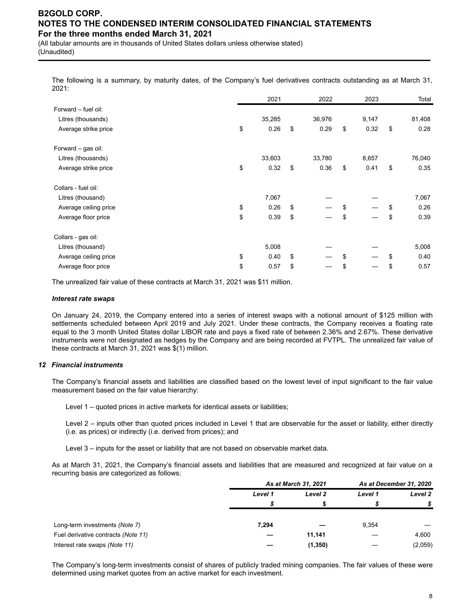(All tabular amounts are in thousands of United States dollars unless otherwise stated) (Unaudited)

The following is a summary, by maturity dates, of the Company's fuel derivatives contracts outstanding as at March 31, 2021:

|                       | 2021       | 2022       | 2023       | Total      |
|-----------------------|------------|------------|------------|------------|
| Forward - fuel oil:   |            |            |            |            |
| Litres (thousands)    | 35,285     | 36,976     | 9,147      | 81,408     |
| Average strike price  | \$<br>0.26 | \$<br>0.29 | \$<br>0.32 | \$<br>0.28 |
| Forward - gas oil:    |            |            |            |            |
| Litres (thousands)    | 33,603     | 33,780     | 8,657      | 76,040     |
| Average strike price  | \$<br>0.32 | \$<br>0.36 | \$<br>0.41 | \$<br>0.35 |
| Collars - fuel oil:   |            |            |            |            |
| Litres (thousand)     | 7,067      |            |            | 7,067      |
| Average ceiling price | \$<br>0.26 | \$         | \$         | \$<br>0.26 |
| Average floor price   | \$<br>0.39 | \$         | \$         | \$<br>0.39 |
| Collars - gas oil:    |            |            |            |            |
| Litres (thousand)     | 5,008      |            |            | 5,008      |
| Average ceiling price | \$<br>0.40 | \$         | \$         | \$<br>0.40 |
| Average floor price   | \$<br>0.57 | \$         | \$         | \$<br>0.57 |

The unrealized fair value of these contracts at March 31, 2021 was \$11 million.

#### *Interest rate swaps*

On January 24, 2019, the Company entered into a series of interest swaps with a notional amount of \$125 million with settlements scheduled between April 2019 and July 2021. Under these contracts, the Company receives a floating rate equal to the 3 month United States dollar LIBOR rate and pays a fixed rate of between 2.36% and 2.67%. These derivative instruments were not designated as hedges by the Company and are being recorded at FVTPL. The unrealized fair value of these contracts at March 31, 2021 was \$(1) million.

#### *12 Financial instruments*

The Company's financial assets and liabilities are classified based on the lowest level of input significant to the fair value measurement based on the fair value hierarchy:

Level 1 – quoted prices in active markets for identical assets or liabilities;

Level 2 – inputs other than quoted prices included in Level 1 that are observable for the asset or liability, either directly (i.e. as prices) or indirectly (i.e. derived from prices); and

Level 3 – inputs for the asset or liability that are not based on observable market data.

As at March 31, 2021, the Company's financial assets and liabilities that are measured and recognized at fair value on a recurring basis are categorized as follows:

|                                     |         | As at March 31, 2021 |         | As at December 31, 2020 |
|-------------------------------------|---------|----------------------|---------|-------------------------|
|                                     | Level 1 | Level 2              | Level 1 | Level 2                 |
|                                     |         |                      |         |                         |
|                                     |         |                      |         |                         |
| Long-term investments (Note 7)      | 7.294   |                      | 9,354   |                         |
| Fuel derivative contracts (Note 11) |         | 11.141               |         | 4,600                   |
| Interest rate swaps (Note 11)       |         | (1, 350)             |         | (2,059)                 |

The Company's long-term investments consist of shares of publicly traded mining companies. The fair values of these were determined using market quotes from an active market for each investment.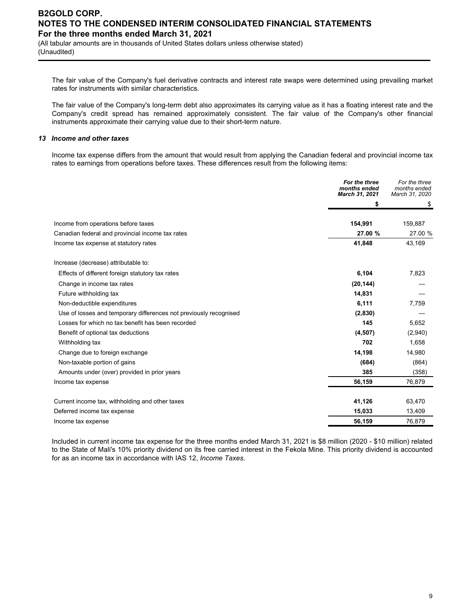(All tabular amounts are in thousands of United States dollars unless otherwise stated) (Unaudited)

The fair value of the Company's fuel derivative contracts and interest rate swaps were determined using prevailing market rates for instruments with similar characteristics.

The fair value of the Company's long-term debt also approximates its carrying value as it has a floating interest rate and the Company's credit spread has remained approximately consistent. The fair value of the Company's other financial instruments approximate their carrying value due to their short-term nature.

#### *13 Income and other taxes*

Income tax expense differs from the amount that would result from applying the Canadian federal and provincial income tax rates to earnings from operations before taxes. These differences result from the following items:

|                                                                   | For the three<br>months ended<br><b>March 31, 2021</b> | For the three<br>months ended<br>March 31, 2020 |
|-------------------------------------------------------------------|--------------------------------------------------------|-------------------------------------------------|
|                                                                   | \$                                                     | S                                               |
| Income from operations before taxes                               | 154,991                                                | 159,887                                         |
| Canadian federal and provincial income tax rates                  | 27.00 %                                                | 27.00 %                                         |
| Income tax expense at statutory rates                             | 41,848                                                 | 43,169                                          |
| Increase (decrease) attributable to:                              |                                                        |                                                 |
| Effects of different foreign statutory tax rates                  | 6,104                                                  | 7,823                                           |
| Change in income tax rates                                        | (20, 144)                                              |                                                 |
| Future withholding tax                                            | 14,831                                                 |                                                 |
| Non-deductible expenditures                                       | 6,111                                                  | 7,759                                           |
| Use of losses and temporary differences not previously recognised | (2,830)                                                |                                                 |
| Losses for which no tax benefit has been recorded                 | 145                                                    | 5.652                                           |
| Benefit of optional tax deductions                                | (4,507)                                                | (2,940)                                         |
| Withholding tax                                                   | 702                                                    | 1,658                                           |
| Change due to foreign exchange                                    | 14,198                                                 | 14,980                                          |
| Non-taxable portion of gains                                      | (684)                                                  | (864)                                           |
| Amounts under (over) provided in prior years                      | 385                                                    | (358)                                           |
| Income tax expense                                                | 56,159                                                 | 76,879                                          |
| Current income tax, withholding and other taxes                   | 41,126                                                 | 63,470                                          |
| Deferred income tax expense                                       | 15,033                                                 | 13,409                                          |
| Income tax expense                                                | 56,159                                                 | 76,879                                          |

Included in current income tax expense for the three months ended March 31, 2021 is \$8 million (2020 - \$10 million) related to the State of Mali's 10% priority dividend on its free carried interest in the Fekola Mine. This priority dividend is accounted for as an income tax in accordance with IAS 12, *Income Taxes.*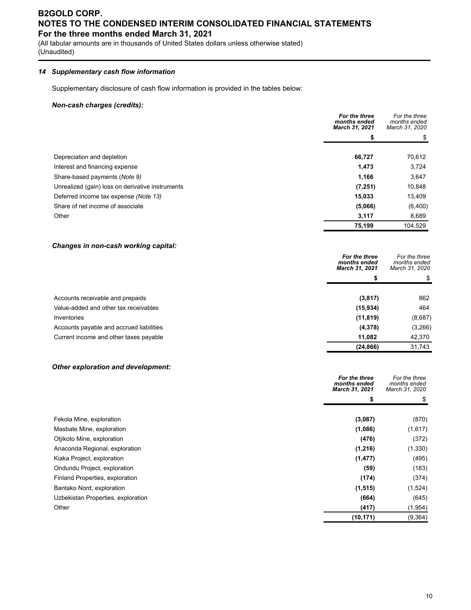(All tabular amounts are in thousands of United States dollars unless otherwise stated) (Unaudited)

### *14 Supplementary cash flow information*

Supplementary disclosure of cash flow information is provided in the tables below:

#### *Non-cash charges (credits):*

|                                                  | For the three<br>months ended<br>March 31, 2021 | For the three<br>months ended<br>March 31, 2020 |
|--------------------------------------------------|-------------------------------------------------|-------------------------------------------------|
|                                                  |                                                 |                                                 |
|                                                  |                                                 |                                                 |
| Depreciation and depletion                       | 66,727                                          | 70,612                                          |
| Interest and financing expense                   | 1,473                                           | 3,724                                           |
| Share-based payments (Note 9)                    | 1,166                                           | 3,647                                           |
| Unrealized (gain) loss on derivative instruments | (7, 251)                                        | 10,848                                          |
| Deferred income tax expense (Note 13)            | 15,033                                          | 13,409                                          |
| Share of net income of associate                 | (5,066)                                         | (6,400)                                         |
| Other                                            | 3,117                                           | 8,689                                           |
|                                                  | 75,199                                          | 104.529                                         |

#### *Changes in non-cash working capital:*

|                                          | For the three<br>months ended<br>March 31, 2021 | For the three<br>months ended<br>March 31, 2020 |
|------------------------------------------|-------------------------------------------------|-------------------------------------------------|
|                                          |                                                 | S                                               |
|                                          |                                                 |                                                 |
| Accounts receivable and prepaids         | (3, 817)                                        | 862                                             |
| Value-added and other tax receivables    | (15, 934)                                       | 464                                             |
| Inventories                              | (11, 819)                                       | (8,687)                                         |
| Accounts payable and accrued liabilities | (4,378)                                         | (3,266)                                         |
| Current income and other taxes payable   | 11,082                                          | 42,370                                          |
|                                          | (24, 866)                                       | 31,743                                          |

#### *Other exploration and development:*

|                                    | For the three<br>months ended<br>March 31, 2021 | For the three<br>months ended<br>March 31, 2020 |
|------------------------------------|-------------------------------------------------|-------------------------------------------------|
|                                    | \$                                              | \$                                              |
|                                    |                                                 |                                                 |
| Fekola Mine, exploration           | (3,087)                                         | (870)                                           |
| Masbate Mine, exploration          | (1,086)                                         | (1,617)                                         |
| Otjikoto Mine, exploration         | (476)                                           | (372)                                           |
| Anaconda Regional, exploration     | (1,216)                                         | (1, 330)                                        |
| Kiaka Project, exploration         | (1, 477)                                        | (495)                                           |
| Ondundu Project, exploration       | (59)                                            | (183)                                           |
| Finland Properties, exploration    | (174)                                           | (374)                                           |
| Bantako Nord, exploration          | (1, 515)                                        | (1,524)                                         |
| Uzbekistan Properties, exploration | (664)                                           | (645)                                           |
| Other                              | (417)                                           | (1, 954)                                        |
|                                    | (10, 171)                                       | (9, 364)                                        |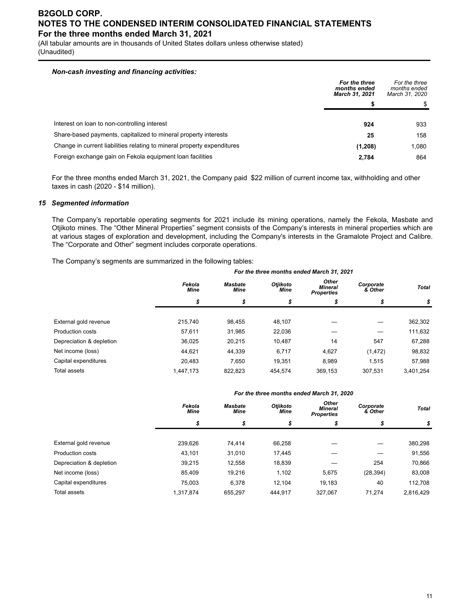(All tabular amounts are in thousands of United States dollars unless otherwise stated) (Unaudited)

#### *Non-cash investing and financing activities:*

|                                                                         | For the three<br>months ended<br><b>March 31, 2021</b> | For the three<br>months ended<br>March 31, 2020 |
|-------------------------------------------------------------------------|--------------------------------------------------------|-------------------------------------------------|
|                                                                         |                                                        |                                                 |
| Interest on loan to non-controlling interest                            | 924                                                    | 933                                             |
| Share-based payments, capitalized to mineral property interests         | 25                                                     | 158                                             |
| Change in current liabilities relating to mineral property expenditures | (1,208)                                                | 1,080                                           |
| Foreign exchange gain on Fekola equipment loan facilities               | 2,784                                                  | 864                                             |

For the three months ended March 31, 2021, the Company paid \$22 million of current income tax, withholding and other taxes in cash (2020 - \$14 million).

#### *15 Segmented information*

The Company's reportable operating segments for 2021 include its mining operations, namely the Fekola, Masbate and Otjikoto mines. The "Other Mineral Properties" segment consists of the Company's interests in mineral properties which are at various stages of exploration and development, including the Company's interests in the Gramalote Project and Calibre. The "Corporate and Other" segment includes corporate operations.

The Company's segments are summarized in the following tables:

|                          | For the three months ended March 31, 2021 |                               |                  |                                              |                      |              |  |
|--------------------------|-------------------------------------------|-------------------------------|------------------|----------------------------------------------|----------------------|--------------|--|
|                          | Fekola<br><b>Mine</b>                     | <b>Masbate</b><br><b>Mine</b> | Otjikoto<br>Mine | Other<br><b>Mineral</b><br><b>Properties</b> | Corporate<br>& Other | <b>Total</b> |  |
|                          | \$                                        | \$                            | \$               | \$                                           | \$                   | \$           |  |
| External gold revenue    | 215.740                                   | 98.455                        | 48.107           |                                              |                      | 362,302      |  |
| <b>Production costs</b>  | 57.611                                    | 31,985                        | 22,036           |                                              |                      | 111,632      |  |
| Depreciation & depletion | 36.025                                    | 20.215                        | 10.487           | 14                                           | 547                  | 67,288       |  |
| Net income (loss)        | 44.621                                    | 44.339                        | 6.717            | 4,627                                        | (1, 472)             | 98,832       |  |
| Capital expenditures     | 20.483                                    | 7.650                         | 19.351           | 8.989                                        | 1,515                | 57,988       |  |
| <b>Total assets</b>      | 1.447.173                                 | 822.823                       | 454.574          | 369.153                                      | 307.531              | 3.401.254    |  |

#### *For the three months ended March 31, 2020*

|                          | Fekola<br><b>Mine</b> | <b>Masbate</b><br>Mine | Otjikoto<br><b>Mine</b> | Other<br>Mineral<br><b>Properties</b> | Corporate<br>& Other | <b>Total</b> |  |
|--------------------------|-----------------------|------------------------|-------------------------|---------------------------------------|----------------------|--------------|--|
|                          | \$                    | \$                     | \$                      | \$                                    | \$                   | \$           |  |
|                          |                       |                        |                         |                                       |                      |              |  |
| External gold revenue    | 239,626               | 74.414                 | 66,258                  |                                       |                      | 380,298      |  |
| Production costs         | 43,101                | 31,010                 | 17,445                  |                                       |                      | 91,556       |  |
| Depreciation & depletion | 39,215                | 12,558                 | 18,839                  |                                       | 254                  | 70,866       |  |
| Net income (loss)        | 85.409                | 19,216                 | 1.102                   | 5.675                                 | (28, 394)            | 83,008       |  |
| Capital expenditures     | 75,003                | 6,378                  | 12.104                  | 19,183                                | 40                   | 112,708      |  |
| Total assets             | 1,317,874             | 655.297                | 444.917                 | 327.067                               | 71.274               | 2,816,429    |  |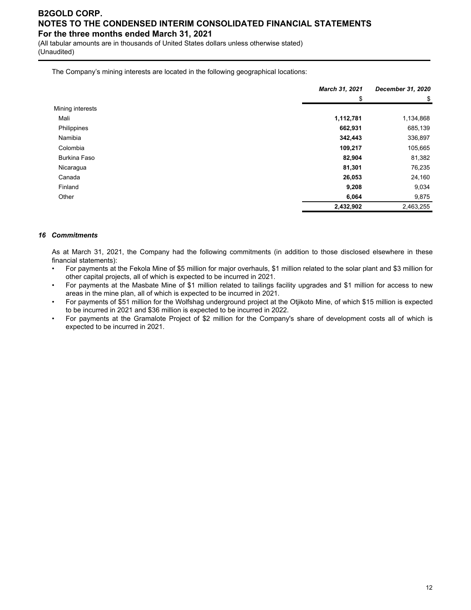(All tabular amounts are in thousands of United States dollars unless otherwise stated) (Unaudited)

The Company's mining interests are located in the following geographical locations:

|                     | March 31, 2021 | <b>December 31, 2020</b><br>\$ |  |
|---------------------|----------------|--------------------------------|--|
|                     | \$             |                                |  |
| Mining interests    |                |                                |  |
| Mali                | 1,112,781      | 1,134,868                      |  |
| Philippines         | 662,931        | 685,139                        |  |
| Namibia             | 342,443        | 336,897                        |  |
| Colombia            | 109,217        | 105,665                        |  |
| <b>Burkina Faso</b> | 82,904         | 81,382                         |  |
| Nicaragua           | 81,301         | 76,235                         |  |
| Canada              | 26,053         | 24,160                         |  |
| Finland             | 9,208          | 9,034                          |  |
| Other               | 6,064          | 9,875                          |  |
|                     | 2,432,902      | 2,463,255                      |  |

#### *16 Commitments*

As at March 31, 2021, the Company had the following commitments (in addition to those disclosed elsewhere in these financial statements):

- For payments at the Fekola Mine of \$5 million for major overhauls, \$1 million related to the solar plant and \$3 million for other capital projects, all of which is expected to be incurred in 2021.
- For payments at the Masbate Mine of \$1 million related to tailings facility upgrades and \$1 million for access to new areas in the mine plan, all of which is expected to be incurred in 2021.
- For payments of \$51 million for the Wolfshag underground project at the Otjikoto Mine, of which \$15 million is expected to be incurred in 2021 and \$36 million is expected to be incurred in 2022.
- For payments at the Gramalote Project of \$2 million for the Company's share of development costs all of which is expected to be incurred in 2021.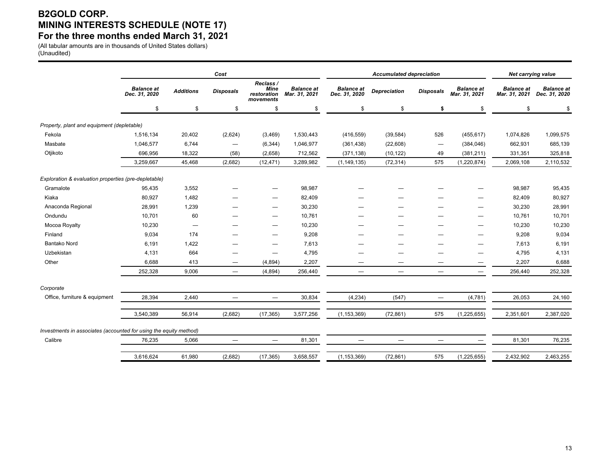# **B2GOLD CORP. MINING INTERESTS SCHEDULE (NOTE 17) For the three months ended March 31, 2021**

(All tabular amounts are in thousands of United States dollars) (Unaudited)

|                                                                   | Cost                               |                          |                          |                                               |                                    | <b>Accumulated depreciation</b>    |                                 |                          |                                    | Net carrying value                 |                                    |  |
|-------------------------------------------------------------------|------------------------------------|--------------------------|--------------------------|-----------------------------------------------|------------------------------------|------------------------------------|---------------------------------|--------------------------|------------------------------------|------------------------------------|------------------------------------|--|
|                                                                   | <b>Balance</b> at<br>Dec. 31, 2020 | <b>Additions</b>         | <b>Disposals</b>         | Reclass /<br>Mine<br>restoration<br>movements | <b>Balance</b> at<br>Mar. 31, 2021 | <b>Balance</b> at<br>Dec. 31, 2020 | <b>Depreciation</b>             | <b>Disposals</b>         | <b>Balance</b> at<br>Mar. 31, 2021 | <b>Balance</b> at<br>Mar. 31, 2021 | <b>Balance</b> at<br>Dec. 31, 2020 |  |
|                                                                   | \$                                 | \$                       | \$                       | \$                                            | \$                                 | \$                                 | \$                              | \$                       | \$                                 | \$                                 | \$                                 |  |
| Property, plant and equipment (depletable)                        |                                    |                          |                          |                                               |                                    |                                    |                                 |                          |                                    |                                    |                                    |  |
| Fekola                                                            | 1,516,134                          | 20,402                   | (2,624)                  | (3, 469)                                      | 1,530,443                          | (416, 559)                         | (39, 584)                       | 526                      | (455, 617)                         | 1,074,826                          | 1,099,575                          |  |
| Masbate                                                           | 1,046,577                          | 6,744                    | $\overline{\phantom{0}}$ | (6, 344)                                      | 1,046,977                          | (361, 438)                         | (22, 608)                       | $\overline{\phantom{m}}$ | (384, 046)                         | 662,931                            | 685,139                            |  |
| Otjikoto                                                          | 696,956                            | 18,322                   | (58)                     | (2,658)                                       | 712,562                            | (371, 138)                         | (10, 122)                       | 49                       | (381, 211)                         | 331,351                            | 325,818                            |  |
|                                                                   | 3,259,667                          | 45,468                   | (2,682)                  | (12, 471)                                     | 3,289,982                          | (1, 149, 135)                      | (72, 314)                       | 575                      | (1, 220, 874)                      | 2,069,108                          | 2,110,532                          |  |
| Exploration & evaluation properties (pre-depletable)              |                                    |                          |                          |                                               |                                    |                                    |                                 |                          |                                    |                                    |                                    |  |
| Gramalote                                                         | 95,435                             | 3,552                    |                          | -                                             | 98,987                             |                                    |                                 |                          |                                    | 98,987                             | 95,435                             |  |
| Kiaka                                                             | 80,927                             | 1,482                    |                          |                                               | 82,409                             |                                    |                                 |                          |                                    | 82,409                             | 80,927                             |  |
| Anaconda Regional                                                 | 28,991                             | 1,239                    |                          |                                               | 30,230                             |                                    |                                 |                          |                                    | 30,230                             | 28,991                             |  |
| Ondundu                                                           | 10,701                             | 60                       |                          |                                               | 10,761                             | —                                  |                                 |                          | —                                  | 10,761                             | 10,701                             |  |
| Mocoa Royalty                                                     | 10,230                             | $\overline{\phantom{m}}$ |                          |                                               | 10,230                             |                                    |                                 |                          |                                    | 10,230                             | 10,230                             |  |
| Finland                                                           | 9,034                              | 174                      |                          |                                               | 9,208                              |                                    |                                 |                          |                                    | 9,208                              | 9,034                              |  |
| <b>Bantako Nord</b>                                               | 6,191                              | 1,422                    |                          | $\overline{\phantom{0}}$                      | 7,613                              | —                                  |                                 |                          | —                                  | 7,613                              | 6,191                              |  |
| Uzbekistan                                                        | 4,131                              | 664                      |                          | $\overline{\phantom{0}}$                      | 4,795                              | —                                  |                                 |                          | -                                  | 4,795                              | 4,131                              |  |
| Other                                                             | 6,688                              | 413                      | -                        | (4,894)                                       | 2,207                              | —                                  |                                 | -                        |                                    | 2,207                              | 6,688                              |  |
|                                                                   | 252,328                            | 9,006                    | $\qquad \qquad -$        | (4,894)                                       | 256,440                            | $\overline{\phantom{m}}$           | $\hspace{0.1mm}-\hspace{0.1mm}$ | $\overline{\phantom{0}}$ | $\overline{\phantom{m}}$           | 256,440                            | 252,328                            |  |
| Corporate                                                         |                                    |                          |                          |                                               |                                    |                                    |                                 |                          |                                    |                                    |                                    |  |
| Office, furniture & equipment                                     | 28,394                             | 2,440                    |                          |                                               | 30,834                             | (4,234)                            | (547)                           | $=$                      | (4,781)                            | 26,053                             | 24,160                             |  |
|                                                                   | 3,540,389                          | 56,914                   |                          |                                               |                                    | (1, 153, 369)                      |                                 | 575                      |                                    | 2,351,601                          | 2,387,020                          |  |
|                                                                   |                                    |                          | (2,682)                  | (17, 365)                                     | 3,577,256                          |                                    | (72, 861)                       |                          | (1, 225, 655)                      |                                    |                                    |  |
| Investments in associates (accounted for using the equity method) |                                    |                          |                          |                                               |                                    |                                    |                                 |                          |                                    |                                    |                                    |  |
| Calibre                                                           | 76,235                             | 5,066                    | $\qquad \qquad -$        | $\overline{\phantom{m}}$                      | 81,301                             | $\overline{\phantom{m}}$           | $\overline{\phantom{m}}$        | $\qquad \qquad -$        |                                    | 81,301                             | 76,235                             |  |
|                                                                   | 3.616.624                          | 61,980                   | (2,682)                  | (17, 365)                                     | 3,658,557                          | (1, 153, 369)                      | (72, 861)                       | 575                      | (1, 225, 655)                      | 2,432,902                          | 2,463,255                          |  |